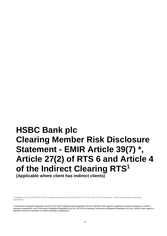# **HSBC Bank plc Clearing Member Risk Disclosure Statement - EMIR Article 39(7) \*, Article 27(2) of RTS 6 and Article 4 of the Indirect Clearing RTS<sup>1</sup>**

**(Applicable where client has indirect clients)**

<sup>\*</sup> Regulation (EU) No 648/2012 of the European Parliament and of the Council of 4<sup>th</sup> July 2012 on OTC derivatives, central counterparties and trade repositories.

<sup>1</sup> Commission Delegated Regulation (EU) No 2017/2154 supplementing Regulation (EU) No 600/2014 with regard to regulatory technical standards on indirect clearing arrangements, and Commission Delegated Regulation (EU) No 2017/2155 amending Commission Delegated Regulation (EU) No 149/2013 with regard to regulatory technical standards on indirect clearing arrangements.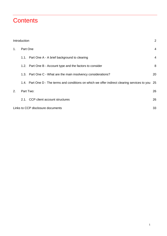# **Contents**

|    | Introduction |                                                                                                | 2              |
|----|--------------|------------------------------------------------------------------------------------------------|----------------|
| 1. | Part One     |                                                                                                | 4              |
|    |              | 1.1. Part One A - A brief background to clearing                                               | $\overline{4}$ |
|    |              | 1.2. Part One B - Account type and the factors to consider                                     | 8              |
|    |              | 1.3. Part One C - What are the main insolvency considerations?                                 | 20             |
|    |              | 1.4. Part One D - The terms and conditions on which we offer indirect clearing services to you | 25             |
| 2. | Part Two:    |                                                                                                | 26             |
|    |              | 2.1. CCP client account structures                                                             | 26             |
|    |              | Links to CCP disclosure documents                                                              | 33             |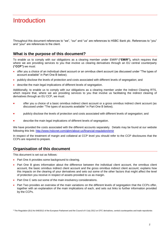# <span id="page-2-0"></span>**Introduction**

Throughout this document references to "we", "our" and "us" are references to HSBC Bank plc. References to "you" and "your" are references to the client.

# **What is the purpose of this document?**

To enable us to comply with our obligations as a clearing member under EMIR<sup>2</sup> **("EMIR"),** which requires that where we are providing services to you that involve us clearing derivatives through an EU central counterparty **("CCP")** we must:

- offer you a choice of an individual client account or an omnibus client account (as discussed under "The types of account available" in Part One B below);
- publicly disclose the levels of protection and costs associated with different levels of segregation; and
- describe the main legal implications of different levels of segregation.

Additionally, to enable us to comply with our obligations as a clearing member under the Indirect Clearing RTS, which require that, where we are providing services to you that involve us facilitating the indirect clearing of derivatives through an EU CCP, we must:

- offer you a choice of a basic omnibus indirect client account or a gross omnibus indirect client account (as discussed under *"*The types of accounts available*"* in Part One B below);
- publicly disclose the levels of protection and costs associated with different levels of segregation; and
- describe the main legal implications of different levels of segregation.

We have provided the costs associated with the different accounts separately. Details may be found at our website following this link:<http://www.hsbcnet.com/gbm/about-us/financial-regulation/emir>

In respect of the treatment of margin and collateral at CCP level you should refer to the CCP disclosures that the CCPs are required to prepare.

# **Organisation of this document**

This document is set out as follows:

- Part One A provides some background to clearing.
- Part One B gives information about the difference between the individual client account, the omnibus client account, the basic omnibus indirect client account and the gross omnibus indirect client account; explains how this impacts on the clearing of your derivatives and sets out some of the other factors that might affect the level of protection you receive in respect of assets provided to us as margin.
- Part One C sets out some of the main insolvency considerations.
- Part Two provides an overview of the main variations on the different levels of segregation that the CCPs offer, together with an explanation of the main implications of each, and sets out links to further information provided by the CCPs.

<sup>&</sup>lt;sup>2</sup> The Regulation (EU) No 648/2012 of the European Parliament and the Council of 4 July 2012 on OTC derivatives, central counterparties and trade repositories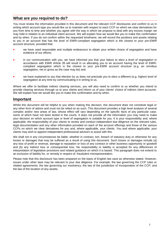# **What are you required to do?**

You must review the information provided in this document and the relevant CCP disclosures and confirm to us in writing which account type you would like us to maintain with respect to each CCP on which we clear derivatives for you from time to time and whether you agree with the way in which we propose to deal with any excess margin we may hold in relation to an individual client account. We will explain how we would like you to make this confirmation and by when. If you do not confirm within the requested timeframe, we will record the positions and assets relating to you in an account that has the level of EMIR-compliant segregation which is the closest to your pre-EMIR account structure, provided that:

- we have used reasonable and multiple endeavours to obtain your written choice of segregation and have evidence of our efforts;
- in our communication with you, we have informed you that your failure to elect a level of segregation in accordance with EMIR Article 39 will result in us allocating you to an account having the level of EMIRcompliant segregation which is the closest to your pre-EMIR account structure (e.g. an omnibus segregation, net or gross as the case may be) and
- we have explained to you that election by us does not preclude you to elect a different (e.g. higher) level of segregation at any time by communicating it in writing to us.

Where we offer to facilitate indirect clearing services, you will also need to confirm to us whether you intend to provide clearing services through us to your clients and inform us of your clients' choice of indirect client accounts. We will explain how we would like you to make this confirmation and by when.

# **Important**

Whilst this document will be helpful to you when making this decision, this document does not constitute legal or any other form of advice and must not be relied on as such. This document provides a high level analysis of several complex and/or new areas of law, whose effect will vary depending on the specific facts of any particular case, some of which have not been tested in the courts. It does not provide all the information you may need to make your decision on which account type or level of segregation is suitable for you. It is your responsibility and, where applicable, the responsibility of your clients to review and conduct independent due diligence on the relevant rules, legal documentation and any other information provided on each of the account offerings and those of the various CCPs on which we clear derivatives for you and, where applicable, your clients. You and where applicable, your clients may wish to appoint independent professional advisors to assist with this.

We shall not in any circumstances be liable, whether in contract, tort, breach of statutory duty or otherwise for any losses or damages that may be suffered as a result of using this document. Such losses or damages include (a) any loss of profit or revenue, damage to reputation or loss of any contract or other business opportunity or goodwill and (b) any indirect loss or consequential loss. No responsibility or liability is accepted for any differences of interpretation of legislative provisions and related guidance on which it is based. This paragraph does not extend to an exclusion of liability for, or remedy in respect of, fraudulent misrepresentation.

Please note that this disclosure has been prepared on the basis of English law save as otherwise stated. However, issues under other laws may be relevant to your due diligence. For example, the law governing the CCP rules or related agreements; the law governing our insolvency; the law of the jurisdiction of incorporation of the CCP; and the law of the location of any assets.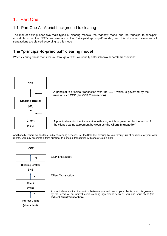# <span id="page-4-0"></span>1. Part One

# <span id="page-4-1"></span>1.1. Part One A. A brief background to clearing

The market distinguishes two main types of clearing models: the "agency" model and the "principal-to-principal" model. Most of the CCPs we use adopt the "principal-to-principal" model, and this document assumes all transactions are cleared according to this model.

# **The "principal-to-principal" clearing model**

When clearing transactions for you through a CCP, we usually enter into two separate transactions:



A principal-to-principal transaction with the CCP, which is governed by the rules of such CCP (the **CCP Transaction**).

A principal-to-principal transaction with you, which is governed by the terms of the client clearing agreement between us (the **Client Transaction**).

Additionally, where we facilitate indirect clearing services, i.e. facilitate the clearing by you through us of positions for your own clients, you may enter into a third principal-to-principal transaction with one of your clients:



CCP Transaction

Client Transaction

A principal-to-principal transaction between you and one of your clients, which is governed by the terms of an indirect client clearing agreement between you and your client (the **Indirect Client Transaction**).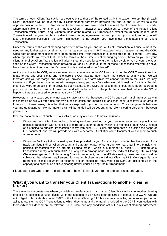The terms of each Client Transaction are equivalent to those of the related CCP Transaction, except that (i) each Client Transaction will be governed by a client clearing agreement between you and us and (ii) we will take the opposite position in the CCP Transaction to the position we have under the related Client Transaction. Similarly, where applicable, the terms of each Indirect Client Transaction are equivalent to those of the related Client Transaction which, in turn, is equivalent to those of the related CCP Transaction, except that (i) each Indirect Client Transaction will be governed by an indirect client clearing agreement between you and your client, and (ii) you will take the opposite position in the Client Transaction to the position you have under the related Indirect Client Transaction.

Under the terms of the client clearing agreement between you and us, a Client Transaction will arise without the need for any further action by either you or us, as soon as the CCP Transaction arises between us and the CCP. Once both of those transactions have been entered into, your transaction is considered to be "cleared". Similarly, where applicable, we expect that under the terms of the indirect client clearing agreement between you and your client, an Indirect Client Transaction will arise without the need for any further action by either you or your client, as soon as the Client Transaction arises between you and us. Once all three of those transactions referred to above have been entered into, your client's transaction is considered to be "cleared".

As the principal to the CCP, we are required to provide assets to the CCP as margin for the CCP Transactions that relate to you and your clients and to ensure the CCP has as much margin as it requires at any time. We will therefore ask you for margin and, where you provide it in a form which we cannot transfer to the CCP, we may transform it. If you have provided us with margin assets, you may face what we call "transit risk" - this is the risk that, if we were to default prior to providing such assets to the CCP, the assets that should have been recorded in your account at the CCP will not have been and will not benefit from the protections described below under "What happens if we are declared to be in default by a CCP?".

However, in many cases you may not actually face transit risk because the CCPs often call margin from us early in the morning so we will often use our own funds to satisfy the margin call and then seek to recover such amount from you. In these cases, it is rather that we are exposed to you for the interim period. The arrangements between you and us relating to how the margin calls will be funded will be set out in the client clearing agreement between you and us.

If we are not a member of such CCP ourselves, we may offer you alternative solutions:

- Where we do not facilitate indirect clearing services provided by you, we may enter into a principal-toprincipal transaction with an affiliate or third-party clearing broker which is a member of such CCP, instead of a principal-to-principal transaction directly with such CCP. Such arrangements are outside the scope of this document, and we will provide you with a separate Client Disclosure Document with respect to such arrangements.
- Where we facilitate indirect clearing services provided by you, for any of your clients that have opted for a Basic Omnibus Indirect Client Account and that are not part of our group, we may enter into a principal-toprincipal transaction with an affiliate clearing broker, which is a member of such CCP, instead of a transaction directly with such CCP in a long chain arrangement under the Indirect Clearing RTS (a **Long Chain Arrangement**). Under a Long Chain Arrangement, both the affiliate clearing broker and we would be subject to the relevant requirements for clearing brokers in the Indirect Clearing RTS. Consequently, any references in this document to 'clearing broker' should be read, where relevant, as including us in the capacity of a client of an affiliate clearing broker under a Long Chain Arrangement.

Please see Part One B for an explanation of how this is relevant to the choice of account types.

#### **What if you want to transfer your Client Transactions to another clearing broker?**

There may be circumstances where you wish to transfer some or all of your Client Transactions to another clearing broker on a business as usual basis (i.e. in the absence of us having been declared in default by a CCP). We are not obliged to facilitate this under EMIR or the Indirect Clearing RTS but we may be willing to do so subject to our ability to transfer the CCP Transactions to which they relate and the margin provided to the CCP in connection with them (which will depend on the relevant CCP's rules) and any conditions set out in our client clearing agreement.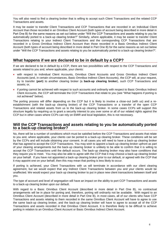You will also need to find a clearing broker that is willing to accept such Client Transactions and the related CCP Transactions and assets.

It may be easier to transfer Client Transactions and CCP Transactions that are recorded in an Individual Client Account than those recorded in an Omnibus Client Account (both types of account being described in more detail in Part One B) for the same reasons as set out below under "Will the CCP Transactions and assets relating to you be automatically ported to a back-up clearing broker?" Similarly, where applicable, it may be easier to transfer Client Transactions relating to your Indirect Client Transactions and the corresponding CCP Transactions that are recorded in a Gross Omnibus Indirect Client Account than those recorded in a Basic Omnibus Indirect Client Account (both types of account being described in more detail in Part One B) for the same reasons as set out below under "Will the CCP Transactions and assets relating to you be automatically ported to a back-up clearing broker?"*.*

# **What happens if we are declared to be in default by a CCP?**

If we are declared to be in default by a CCP, there are two possibilities with respect to the CCP Transactions and assets related to you and, where applicable, your clients:

- with respect to Individual Client Accounts, Omnibus Client Accounts and Gross Omnibus Indirect Client Accounts (and, in certain circumstances, Basic Omnibus Indirect Client Accounts), the CCP will, at your request, try to transfer (**port**) to another clearing broker (a **back-up clearing broker**), such CCP Transactions and assets; or,
- if porting cannot be achieved with respect to such accounts and ordinarily with respect to Basic Omnibus Indirect Client Accounts, the CCP will terminate the CCP Transactions that relate to you (see "What happens if porting is not achieved" below).

The porting process will differ depending on the CCP but it is likely to involve a close-out (with us) and a reestablishment (with the back-up clearing broker) of the CCP Transactions or a transfer of the open CCP Transactions and related assets from us to the back-up clearing broker. In some cases CCPs will support this structure legally by requiring us to grant a security interest to you over some or all of our related rights against the CCP but in other cases where CCPs can rely on EMIR and local legislation, this is not necessary.

#### **Will the CCP Transactions and assets relating to you be automatically ported to a back-up clearing broker?**

No, there will be a number of conditions which must be satisfied before the CCP Transactions and assets that relate to you and, where applicable, your clients can be ported to a back-up clearing broker. These conditions will be set by the CCPs and will include obtaining your consent. In all cases you will need to have a back-up clearing broker that has agreed to accept the CCP Transactions. You may wish to appoint a back-up clearing broker upfront as part of your clearing arrangements but the back-up clearing broker is unlikely to be able to confirm that it is willing to accept the CCP Transactions until the default occurs. The back-up clearing broker may also have conditions that they require you to meet. You may also be able to agree with the CCP that it may choose a back-up clearing broker on your behalf. If you have not appointed a back-up clearing broker prior to our default, or agreed with the CCP that it may appoint one on your behalf, then this may mean that porting is less likely to occur.

If porting is achieved, your Client Transactions with us will terminate in accordance with our client clearing agreement, but we would expect that any Indirect Client Transactions between you and your clients would be unaffected. We would expect your back-up clearing broker to put in place new client transactions between itself and you.

The type of account and level of segregation will have an impact on the ability to port CCP Transactions and assets to a back-up clearing broker upon our default.

With regard to a Basic Omnibus Client Account (described in more detail in Part One B), no contractual arrangements will be in place for porting and, therefore, porting will ordinarily not be available. With regard to an Omnibus Client Account (described in more detail in Part One B), in most cases, all of our clients who have CCP Transactions and assets relating to them recorded in the same Omnibus Client Account will have to agree to use the same back-up clearing broker, and the back-up clearing broker will have to agree to accept all of the CCP Transactions and assets recorded in that Omnibus Client Account. It is therefore likely to be difficult to achieve porting in relation to an Omnibus Client Account or Basic Omnibus Indirect Client Account.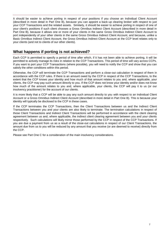It should be easier to achieve porting in respect of your positions if you choose an Individual Client Account (described in more detail in Part One B), because you can appoint a back-up clearing broker with respect to just your CCP Transactions and the related assets. Similarly, it should be easier to achieve porting in respect of one of your client's positions if such client chooses a Gross Omnibus Indirect Client Account (described in more detail in Part One B), because it allows one or more of your clients in the same Gross Omnibus Indirect Client Account to port independently of your other clients in the same Gross Omnibus Indirect Client Account, and because, unlike a Basic Omnibus Indirect Client Account, the Gross Omnibus Indirect Client Account at the CCP level relates only to your clients (and not to clients of our other clients).

# **What happens if porting is not achieved?**

Each CCP is permitted to specify a period of time after which, if it has not been able to achieve porting, it will be permitted to actively manage its risks in relation to the CCP Transactions. This period of time will vary across CCPs. If you want to port your CCP Transactions (where possible), you will need to notify the CCP and show that you can satisfy the other conditions within this period.

Otherwise, the CCP will terminate the CCP Transactions and perform a close-out calculation in respect of them in accordance with the CCP rules. If there is an amount owed by the CCP in respect of the CCP Transactions, to the extent that the CCP knows your identity and how much of that amount relates to you and, where applicable, your clients, the CCP may pay such amount directly to you. If the CCP does not know your identity and/or does not know how much of the amount relates to you and, where applicable, your clients, the CCP will pay it to us (or our insolvency practitioner) for the account of our clients.

It is more likely that a CCP will be able to pay any such amount directly to you with respect to an Individual Client Account or a Gross Omnibus Indirect Client Account (described in more detail in Part One B). This is because your identity will typically be disclosed to the CCP in these cases.

If the CCP terminates the CCP Transactions, then the Client Transactions between us and the Indirect Client Transactions between you and your clients are also likely to terminate. The termination calculations in respect of those Client Transactions and Indirect Client Transactions will be performed in accordance with the client clearing agreement between us and, where applicable, the indirect client clearing agreement between you and your clients respectively. Such calculations will likely mirror those performed by the CCP in respect of the CCP Transactions. If you are due a payment from us as a result of the close-out calculations in respect of our Client Transactions, the amount due from us to you will be reduced by any amount that you receive (or are deemed to receive) directly from the CCP.

Please see Part One C for a consideration of the main insolvency considerations.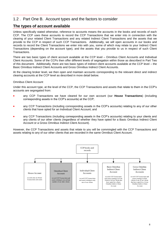# <span id="page-8-0"></span>1.2 . Part One B. Account types and the factors to consider

# **The types of account available**

Unless specifically stated otherwise, reference to accounts means the accounts in the books and records of each CCP. The CCP uses these accounts to record the CCP Transactions that we enter into in connection with the clearing of your related Client Transactions and any related Indirect Client Transactions and the assets that we provide to the CCP in respect of such CCP Transactions. Additionally, we will open accounts in our books and records to record the Client Transactions we enter into with you, some of which may relate to your Indirect Client Transactions (depending on the account type), and the assets that you provide to us in respect of such Client Transactions.

There are two basic types of client account available at the CCP level – Omnibus Client Accounts and Individual Client Accounts. Some of the CCPs then offer different levels of segregation within those as described in Part Two of this document. Additionally, there are two basic types of indirect client accounts available at the CCP level – the Basic Omnibus Indirect Client Accounts and Gross Omnibus Indirect Client Accounts.

At the clearing broker level, we then open and maintain accounts corresponding to the relevant direct and indirect clearing accounts at the CCP level as described in more detail below.

#### Omnibus Client Account

Under this account type, at the level of the CCP, the CCP Transactions and assets that relate to them in the CCP's accounts are segregated from:

- any CCP Transactions we have cleared for our own account (our **House Transactions**) (including corresponding assets in the CCP's accounts) at the CCP;
- any CCP Transactions (including corresponding assets in the CCP's accounts) relating to any of our other clients that have opted for an Individual Client Account; and
- any CCP Transactions (including corresponding assets in the CCP's accounts) relating to your clients and any clients of our other clients (regardless of whether they have opted for a Basic Omnibus Indirect Client Account or a Gross Omnibus Indirect Client Account).

However, the CCP Transactions and assets that relate to you will be commingled with the CCP Transactions and assets relating to any of our other clients that are recorded in the same Omnibus Client Account.

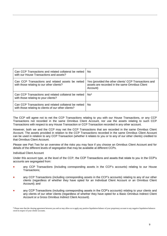| Can CCP Transactions and related collateral be netted<br>with our House Transactions and assets?              | No.                                                                                                                 |
|---------------------------------------------------------------------------------------------------------------|---------------------------------------------------------------------------------------------------------------------|
| Can CCP Transactions and related assets be netted<br>with those relating to our other clients?                | Yes (provided the other clients' CCP Transactions and<br>assets are recorded in the same Omnibus Client<br>Account) |
| Can CCP Transactions and related collateral be netted<br>with those relating to your clients?                 | No <sup>3</sup>                                                                                                     |
| Can CCP Transactions and related collateral be netted<br>with those relating to clients of our other clients? | No.                                                                                                                 |

The CCP will agree not to net the CCP Transactions relating to you with our House Transactions, or any CCP Transactions not recorded in the same Omnibus Client Account, nor use the assets relating to such CCP Transactions with respect to any House Transaction or CCP Transaction recorded in any other account.

However, both we and the CCP may net the CCP Transactions that are recorded in the same Omnibus Client Account. The assets provided in relation to the CCP Transactions recorded in the same Omnibus Client Account can be used in relation to any CCP Transaction (whether it relates to you or to any of our other clients) credited to that Omnibus Client Account.

Please see Part Two for an overview of the risks you may face if you choose an Omnibus Client Account and for details of the different levels of segregation that may be available at different CCPs.

Individual Client Account

Under this account type, at the level of the CCP, the CCP Transactions and assets that relate to you in the CCP's accounts are segregated from:

- any CCP Transactions (including corresponding assets in the CCP's accounts) relating to our House Transactions;
- any CCP Transactions (including corresponding assets in the CCP's accounts) relating to any of our other clients (regardless of whether they have opted for an Individual Client Account or an Omnibus Client Account); and
- any CCP Transactions (including corresponding assets in the CCP's accounts) relating to your clients and any clients of our other clients (regardless of whether they have opted for a Basic Omnibus Indirect Client Account or a Gross Omnibus Indirect Client Account).

<sup>&</sup>lt;sup>3</sup> Please note that the clearing agreement between you and us may allow us to apply any positive liquidation balance of your proprietary account to any negative liquidation balances owed in respect of your clients' accounts.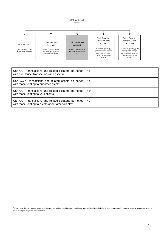

| Can CCP Transactions and related collateral be netted<br>with our House Transactions and assets?              | No.             |
|---------------------------------------------------------------------------------------------------------------|-----------------|
| Can CCP Transactions and related assets be netted<br>with those relating to our other clients?                | No.             |
| Can CCP Transactions and related collateral be netted<br>with those relating to your clients?                 | No <sup>4</sup> |
| Can CCP Transactions and related collateral be netted<br>with those relating to clients of our other clients? | No.             |

<sup>4</sup> Please note that the clearing agreement between you and us may allow us to apply any positive liquidation balance of your proprietary ICA to any negative liquidation balances owed in respect of your clients' accounts.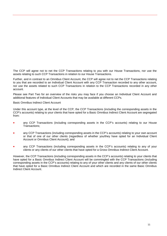The CCP will agree not to net the CCP Transactions relating to you with our House Transactions, nor use the assets relating to such CCP Transactions in relation to our House Transactions.

Further, and in contrast to an Omnibus Client Account, the CCP will agree not to net the CCP Transactions relating to you that are recorded to an Individual Client Account with any CCP Transaction recorded to any other account, nor use the assets related to such CCP Transactions in relation to the CCP Transactions recorded in any other account.

Please see Part Two for an overview of the risks you may face if you choose an Individual Client Account and additional features of Individual Client Accounts that may be available at different CCPs.

Basic Omnibus Indirect Client Account

Under this account type, at the level of the CCP, the CCP Transactions (including the corresponding assets in the CCP's accounts) relating to your clients that have opted for a Basic Omnibus Indirect Client Account are segregated from:

- any CCP Transactions (including corresponding assets in the CCP's accounts) relating to our House Transactions;
- any CCP Transactions (including corresponding assets in the CCP's accounts) relating to your own account or that of one of our other clients (regardless of whether you/they have opted for an Individual Client Account or Omnibus Client Account); and
- any CCP Transactions (including corresponding assets in the CCP's accounts) relating to any of your clients or any clients of our other clients that have opted for a Gross Omnibus Indirect Client Account.

However, the CCP Transactions (including corresponding assets in the CCP's accounts) relating to your clients that have opted for a Basic Omnibus Indirect Client Account will be commingled with the CCP Transactions (including corresponding assets in the CCP's accounts) relating to any of your other clients and any clients of our other clients that have opted for a Basic Omnibus Indirect Client Account and which are recorded in the same Basic Omnibus Indirect Client Account.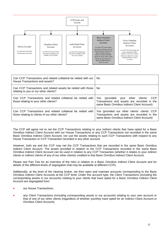

| Can CCP Transactions and related collateral be netted with our<br>House Transactions and assets?              | No.                                                                                                                                               |
|---------------------------------------------------------------------------------------------------------------|---------------------------------------------------------------------------------------------------------------------------------------------------|
| Can CCP Transactions and related assets be netted with those<br>relating to you or our other clients?         | No.                                                                                                                                               |
| Can CCP Transactions and related collateral be netted with<br>those relating to your other clients?           | <b>CCP</b><br>(provided your other clients'<br>Yes.<br>Transactions and assets are recorded in the<br>same Basic Omnibus Indirect Client Account) |
| Can CCP Transactions and related collateral be netted with<br>those relating to clients of our other clients? | Yes (provided our other clients' clients' CCP<br>Transactions and assets are recorded in the<br>same Basic Omnibus Indirect Client Account)       |

The CCP will agree not to net the CCP Transactions relating to your indirect clients that have opted for a Basic Omnibus Indirect Client Account with our House Transactions or any CCP Transactions not recorded in the same Basic Omnibus Indirect Client Account, nor use the assets relating to such CCP Transactions with respect to any House Transaction or CCP Transaction recorded in any other account.

However, both we and the CCP may net the CCP Transactions that are recorded in the same Basic Omnibus Indirect Client Account. The assets provided in relation to the CCP Transactions recorded in the same Basic Omnibus Indirect Client Account can be used in relation to any CCP Transaction (whether it relates to your indirect clients or indirect clients of any of our other clients) credited to that Basic Omnibus Indirect Client Account.

Please see Part Two for an overview of the risks in relation to a Basic Omnibus Indirect Client Account and for details of the different levels of segregation that may be available at different CCPs.

Additionally, at the level of the clearing broker, we then open and maintain accounts corresponding to the Basic Omnibus Indirect Client Accounts at the CCP level. Under this account type, the Client Transactions (including the corresponding assets in our accounts) relating to your clients that have opted for a Basic Omnibus Indirect Client Account are segregated from:

- our House Transactions;
- any Client Transactions (including corresponding assets in our accounts) relating to your own account or that of one of our other clients (regardless of whether you/they have opted for an Indirect Client Account or Omnibus Client Account);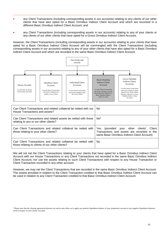- any Client Transactions (including corresponding assets in our accounts) relating to any clients of our other clients that have also opted for a Basic Omnibus Indirect Client Account and which are recorded in a different Basic Omnibus Indirect Client Account; and
- any Client Transactions (including corresponding assets in our accounts) relating to any of your clients or any clients of our other clients that have opted for a Gross Omnibus Indirect Client Account.

However, the Client Transactions (including corresponding assets in our accounts) relating to your clients that have opted for a Basic Omnibus Indirect Client Account will be commingled with the Client Transactions (including corresponding assets in our accounts) relating to any of your other clients that have also opted for a Basic Omnibus Indirect Client Account and which are recorded in the same Basic Omnibus Indirect Client Account.



| Can Client Transactions and related collateral be netted with our<br>House Transactions and assets?              | No.                                                                                                                                           |
|------------------------------------------------------------------------------------------------------------------|-----------------------------------------------------------------------------------------------------------------------------------------------|
| Can Client Transactions and related assets be netted with those<br>relating to you or our other clients?         | No <sup>5</sup>                                                                                                                               |
| Can Client Transactions and related collateral be netted with<br>those relating to your other clients?           | (provided your other clients'<br>Yes.<br>Client<br>Transactions and assets are recorded in the<br>same Basic Omnibus Indirect Client Account) |
| Can Client Transactions and related collateral be netted with<br>those relating to clients of our other clients? | No.                                                                                                                                           |

We will not net the Client Transactions relating to your clients that have opted for a Basic Omnibus Indirect Client Account with our House Transactions or any Client Transactions not recorded in the same Basic Omnibus Indirect Client Account, nor use the assets relating to such Client Transactions with respect to any House Transaction or Client Transaction recorded in any other account.

However, we may net the Client Transactions that are recorded in the same Basic Omnibus Indirect Client Account. The assets provided in relation to the Client Transaction credited to that Basic Omnibus Indirect Client Account can be used in relation to any Client Transaction credited to that Basic Omnibus Indirect Client Account.

<sup>5</sup> Please note that the clearing agreement between you and us may allow us to apply any positive liquidation balance of your proprietary account to any negative liquidation balances owed in respect of your clients' accounts.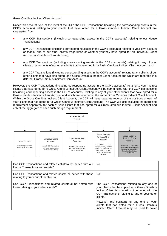#### Gross Omnibus Indirect Client Account

Under this account type, at the level of the CCP, the CCP Transactions (including the corresponding assets in the CCP's accounts) relating to your clients that have opted for a Gross Omnibus Indirect Client Account are segregated from:

- any CCP Transactions (including corresponding assets in the CCP's accounts) relating to our House Transactions;
- any CCP Transactions (including corresponding assets in the CCP's accounts) relating to your own account or that of one of our other clients (regardless of whether you/they have opted for an Individual Client Account or Omnibus Client Account);
- any CCP Transactions (including corresponding assets in the CCP's accounts) relating to any of your clients or any clients of our other clients that have opted for a Basic Omnibus Indirect Client Account; and
- any CCP Transactions (including corresponding assets in the CCP's accounts) relating to any clients of our other clients that have also opted for a Gross Omnibus Indirect Client Account and which are recorded in a different Gross Omnibus Indirect Client Account.

However, the CCP Transactions (including corresponding assets in the CCP's accounts) relating to your indirect clients that have opted for a Gross Omnibus Indirect Client Account will be commingled with the CCP Transactions (including corresponding assets in the CCP's accounts) relating to any of your other clients that have opted for a Gross Omnibus Indirect Client Account and which are recorded in the same Gross Omnibus Indirect Client Account. Within the Gross Omnibus Indirect Client Account, the CCP will keep separate records of the positions of each of your clients that has opted for a Gross Omnibus Indirect Client Account. The CCP will also calculate the margining requirement separately for each of your clients that has opted for a Gross Omnibus Indirect Client Account and collect the aggregate of each such margin requirement.



| Can CCP Transactions and related collateral be netted with our<br>House Transactions and assets?      | No.                                                                                                                                                                                                                 |
|-------------------------------------------------------------------------------------------------------|---------------------------------------------------------------------------------------------------------------------------------------------------------------------------------------------------------------------|
| Can CCP Transactions and related assets be netted with those<br>relating to you or our other clients? | No.                                                                                                                                                                                                                 |
| Can CCP Transactions and related collateral be netted with<br>those relating to your other clients?   | The CCP Transactions relating to any one of<br>your clients that has opted for a Gross Omnibus<br>Indirect Client Account will not be netted with the<br>CCP Transactions relating to any of your other<br>clients. |
|                                                                                                       | However, the collateral of any one of your<br>clients that has opted for a Gross Omnibus<br>Indirect Client Account may be used to cover                                                                            |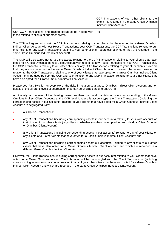|                                                                                                                    | CCP Transactions of your other clients to the<br>extent it is recorded in the same Gross Omnibus<br>Indirect Client Account. <sup>1</sup> |
|--------------------------------------------------------------------------------------------------------------------|-------------------------------------------------------------------------------------------------------------------------------------------|
| Can CCP Transactions and related collateral be netted with   No<br>those relating to clients of our other clients? |                                                                                                                                           |

The CCP will agree not to net the CCP Transactions relating to your clients that have opted for a Gross Omnibus Indirect Client Account with our House Transactions, your CCP Transactions, the CCP Transactions relating to our other clients or any CCP Transactions relating to your other clients (regardless of whether they are recorded in the same Gross Omnibus Indirect Client Account).

The CCP will also agree not to use the assets relating to the CCP Transactions relating to your clients that have opted for a Gross Omnibus Indirect Client Account with respect to any House Transactions, your CCP Transactions, the CCP Transactions relating to our other clients or any CCP Transactions relating to your other clients provided that they are not recorded in the same Gross Omnibus Indirect Client Account. However, the assets provided in relation to the CCP Transactions relating to one of your clients that have opted for a Gross Omnibus Indirect Client Account may be used by both the CCP and us in relation to any CCP Transaction relating to your other clients that have also opted for a Gross Omnibus Indirect Client Account.

Please see Part Two for an overview of the risks in relation to a Gross Omnibus Indirect Client Account and for details of the different levels of segregation that may be available at different CCPs.

Additionally, at the level of the clearing broker, we then open and maintain accounts corresponding to the Gross Omnibus Indirect Client Accounts at the CCP level. Under this account type, the Client Transactions (including the corresponding assets in our accounts) relating to your clients that have opted for a Gross Omnibus Indirect Client Account are segregated from:

- our House Transactions;
- any Client Transactions (including corresponding assets in our accounts) relating to your own account or that of one of our other clients (regardless of whether you/they have opted for an Individual Client Account or Omnibus Client Account);
- any Client Transactions (including corresponding assets in our accounts) relating to any of your clients or any clients of our other clients that have opted for a Basic Omnibus Indirect Client Account; and
- any Client Transactions (including corresponding assets our accounts) relating to any clients of our other clients that have also opted for a Gross Omnibus Indirect Client Account and which are recorded in a different Gross Omnibus Indirect Client Account.

However, the Client Transactions (including corresponding assets in our accounts) relating to your clients that have opted for a Gross Omnibus Indirect Client Account will be commingled with the Client Transactions (including corresponding assets in our accounts) relating to any of your other clients that have also opted for a Gross Omnibus Indirect Client Account and which are recorded in the same Gross Omnibus Indirect Client Account.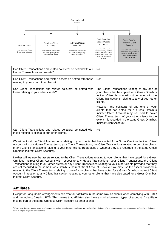

| Can Client Transactions and related collateral be netted with our<br>House Transactions and assets?              | No.                                                                                                                                                                                                                                                                        |
|------------------------------------------------------------------------------------------------------------------|----------------------------------------------------------------------------------------------------------------------------------------------------------------------------------------------------------------------------------------------------------------------------|
| Can Client Transactions and related assets be netted with those<br>relating to you or our other clients?         | No <sup>6</sup>                                                                                                                                                                                                                                                            |
| Can Client Transactions and related collateral be netted with<br>those relating to your other clients?           | The Client Transactions relating to any one of<br>your clients that has opted for a Gross Omnibus<br>Indirect Client Account will not be netted with the<br>Client Transactions relating to any of your other<br>clients.                                                  |
|                                                                                                                  | However, the collateral of any one of your<br>clients that has opted for a Gross Omnibus<br>Indirect Client Account may be used to cover<br>Client Transactions of your other clients to the<br>extent it is recorded in the same Gross Omnibus<br>Indirect Client Account |
| Can Client Transactions and related collateral be netted with<br>those relating to clients of our other clients? | No.                                                                                                                                                                                                                                                                        |

We will not net the Client Transactions relating to your clients that have opted for a Gross Omnibus Indirect Client Account with our House Transactions, your Client Transactions, the Client Transactions relating to our other clients or any Client Transactions relating to your other clients (regardless of whether they are recorded in the same Gross Omnibus Indirect Client Account).

Neither will we use the assets relating to the Client Transactions relating to your clients that have opted for a Gross Omnibus Indirect Client Account with respect to any House Transactions, your Client Transactions, the Client Transactions relating to our other clients or any Client Transactions relating to your other clients provided that they are not recorded in the same Gross Omnibus Indirect Client Account. However, we may use the assets provided in relation to the Client Transactions relating to one of your clients that have opted for a Gross Omnibus Indirect Client Account in relation to any Client Transaction relating to your other clients that have also opted for a Gross Omnibus Indirect Client Account.

# **Affiliates**

Except for Long Chain Arrangements, we treat our affiliates in the same way as clients when complying with EMIR and the Indirect Clearing RTS. This means that affiliates also have a choice between types of account. An affiliate may be part of the same Omnibus Client Account as other clients.

<sup>&</sup>lt;sup>6</sup> Please note that the clearing agreement between you and us may allow us to apply any positive liquidation balance of your proprietary account to any negative liquidation balances owed in respect of your clients' accounts.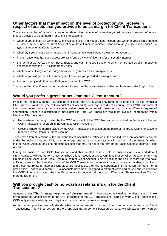#### **Other factors that may impact on the level of protection you receive in respect of assets that you provide to us as margin for Client Transactions**

There are a number of factors that, together, determine the level of protection you will receive in respect of assets that you provide to us as margin for Client Transactions:

- whether you choose an Omnibus Client Account or an Individual Client Account and whether your clients choose a Basic Omnibus Indirect Client Account or a Gross Omnibus Indirect Client Account (as discussed under *"The types of account available"* above)*;*
- whether, if you choose an Omnibus Client Account, you would want a gross or net account;
- in each case, whether such assets are transferred by way of title transfer or security interest;
- the fact that we act as banker, not a trustee, and cash that you transfer to us is not treated as client money in accordance with the FCA client money rules;
- whether we call any excess margin from you or you pay excess margin to us;
- whether you will get back the same type of asset as you provided as margin; and
- the bankruptcy and other laws that govern us and the CCP.

The rest of Part One B sets out further details for each of these variables and their implications under English Law.

### **Would you prefer a gross or net Omnibus Client Account?**

Prior to the Indirect Clearing RTS coming into force, the CCPs were only required to offer one type of Omnibus Client Account (and one type of Individual Client Account), with regard to direct clearing under EMIR, but some of them have developed a range of accounts within these two types with features that provide different degrees of segregation. These are discussed in more detail in Part Two. There are two main levels of segregation within Omnibus Client Accounts:

- Net is where the margin called by the CCP in respect of the CCP Transactions is called on the basis of the net CCP Transactions recorded in the Omnibus Client Account.
- Gross is where the margin called by the CCP Transactions is called on the basis of the gross CCP Transactions recorded in the Omnibus Client Account.

These two different versions of the Omnibus Client Account are reflected in the two indirect client accounts required under the Indirect Clearing RTS, which envisage one gross omnibus account in the form of the Gross Omnibus Indirect Client Account and one omnibus account that may be net in the form of the Basic Omnibus Indirect Client Account.

It may be easier to port CCP Transactions and their related assets, both in business as usual and default circumstances, with regard to a gross Omnibus Client Account or Gross Omnibus Indirect Client Account than a net Omnibus Client Account or Basic Omnibus Indirect Client Account. This is because the CCP is more likely to have sufficient assets to facilitate the porting of the CCP Transactions that relate to you or, where applicable, your clients and those that relate to another client or, where applicable, their clients separately if it has called the margin on a gross basis. That said, different CCPs' accounts have been designed in different ways and so you should consider the CCP's information about the specific accounts to understand the exact differences. Please see Part Two for more details on this.

#### **Will you provide cash or non-cash assets as margin for the Client Transactions?**

As noted under **"The "principal-to-principal" clearing model"** in Part One A, as clearing member of the CCP, we are required to transfer assets to the CCP in respect of the CCP Transactions related to your Client Transactions. CCPs only accept certain types of liquid cash and non-cash assets as margin.

As is market practice, we will decide what types of assets to accept from you as margin for your Client Transactions. This will be set out in the client clearing agreement between us. What we will accept from you as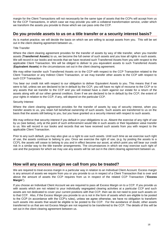margin for the Client Transactions will not necessarily be the same type of assets that the CCPs will accept from us for the CCP Transactions, in which case we may provide you with a collateral transformation service, under which we transform the assets you provide to those which we can pass onto the CCP.

# **Do you provide assets to us on a title transfer or a security interest basis?**

As is market practice, we will decide the basis on which we are willing to accept assets from you. This will be set out in the client clearing agreement between us..

#### Title Transfer

Where the client clearing agreement provides for the transfer of assets by way of title transfer, when you transfer assets (**Transferred Assets**) to us, we become the full owner of such assets and you lose all rights in such assets. We will record in our books and records that we have received such Transferred Assets from you with respect to the applicable Client Transaction. We will be obliged to deliver to you equivalent assets to such Transferred Assets (**Equivalent Assets**) in the circumstances set out in the client clearing agreement.

We may either transfer such Transferred Assets on to the CCP with respect to the CCP Transaction related to the Client Transaction or any Indirect Client Transaction, or we may transfer other assets to the CCP with respect to such CCP Transaction.

You bear our credit risk with respect to our obligation to deliver Equivalent Assets to you. This means that if we were to fail, unless we are declared to be in default by the CCP, you will have no right of recourse to the CCP or to any assets that we transfer to the CCP and you will instead have a claim against our estate for a return of the assets along with all our other general creditors. Even if we are declared to be in default by the CCP, the extent of your rights in relation to the CCP, if any, will depend on the particular CCP.

#### Security Interest

Where the client clearing agreement provides for the transfer of assets by way of security interest, when you transfer assets to us, you retain full beneficial ownership of such assets. Such assets are transferred to us on the basis that the assets still belong to you, but you have granted us a security interest with respect to such assets.

We may enforce that security interest if you default in your obligations to us. Absent the exercise of any right of use by us (see below), only at the point of such enforcement would title in such assets or their liquidation value transfer to us. We will record in our books and records that we have received such assets from you with respect to the applicable Client Transaction.

Prior to any such default, you may also give us a right to use such assets. Until such time as we exercise such right of use, the assets continue to belong to you. Once we exercise the right of use, (e.g. by posting the assets to a CCP), the assets will cease to belong to you and in effect become our asset, at which point you will bear our credit risk in a similar way to the title transfer arrangements. The circumstances in which we may exercise such right of use and the purposes for which we may use any assets will be set out in the client clearing agreement between us.

# **How will any excess margin we call from you be treated?**

We are required to treat excess margin in a particular way in relation to an Individual Client Account. Excess margin is any amount of assets we require from you or you provide to us in respect of a Client Transaction that is over and above the amount of assets the CCP requires from us in respect of the related CCP Transaction ("**Excess Margin**").

If you choose an Individual Client Account we are required to pass all Excess Margin on to a CCP. If you provide us with assets which are not related to your individually segregated clearing activities at a particular CCP and such assets are not dedicated to cover your current positions with that CCP, then we do not need to post such assets on to that CCP. Also, if the Excess Margin you provide to us is not in the form of assets which are eligible to be posted to the CCP (in accordance with the CCP's rules), unless we agree otherwise, we have no obligation to transform such assets into assets that would be eligible to be posted to the CCP. For the avoidance of doubt, other assets transferred to us that are not Excess Margin are not required to be transferred to the CCP. The details of this will be set out in the client clearing agreement between us.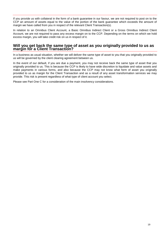If you provide us with collateral in the form of a bank guarantee in our favour, we are not required to post on to the CCP an amount of assets equal to the value of the portion of the bank guarantee which exceeds the amount of margin we have called from you in respect of the relevant Client Transaction(s).

In relation to an Omnibus Client Account, a Basic Omnibus Indirect Client or a Gross Omnibus Indirect Client Account, we are not required to pass any excess margin on to the CCP. Depending on the terms on which we hold excess margin, you will take credit risk on us in respect of it.

#### **Will you get back the same type of asset as you originally provided to us as margin for a Client Transaction?**

In a business as usual situation, whether we will deliver the same type of asset to you that you originally provided to us will be governed by the client clearing agreement between us.

In the event of our default, if you are due a payment, you may not receive back the same type of asset that you originally provided to us. This is because the CCP is likely to have wide discretion to liquidate and value assets and make payments in various forms, and also because the CCP may not know what form of asset you originally provided to us as margin for the Client Transaction and as a result of any asset transformation services we may provide. This risk is present regardless of what type of client account you select.

Please see Part One C for a consideration of the main insolvency considerations.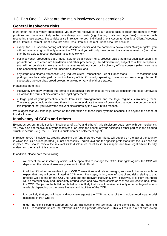# <span id="page-20-0"></span>1.3. Part One C: What are the main insolvency considerations?

# **General insolvency risks**

If we enter into insolvency proceedings, you may not receive all of your assets back or retain the benefit of your positions and there are likely to be time delays and costs (e.g. funding costs and legal fees) connected with recovering those assets. These risks arise in relation to both Individual Client Accounts, Omnibus Client Accounts, Basic Omnibus Indirect Client Accounts and Gross Omnibus Indirect Client Accounts because:

- except for CCP-specific porting solutions described earlier and the comments below under "Margin rights", you will not have any rights directly against the CCP; and you will only have contractual claims against us (i.e. rather than being able to recover particular assets as owner);
- our insolvency proceedings are most likely to be a version of a process called administration (although it is possible for us to enter into liquidation and other proceedings). In administration, subject to a few exceptions, you will not be able to take any action against us without court or insolvency official consent (which can be a time consuming process with an uncertain outcome); and
- any stage of a cleared transaction (e.g. Indirect Client Transactions, Client Transactions, CCP Transactions and porting) may be challenged by our insolvency official if, broadly speaking, it was not on arm's length terms. If successful, the court has broad powers to unwind or vary all of those stages.

Please also note that:

- insolvency law may override the terms of contractual agreements, so you should consider the legal framework as well as the terms of disclosures and legal agreements;
- a large part of your protection comes from CCP arrangements and the legal regimes surrounding them. Therefore, you should understand these in order to evaluate the level of protection that you have on our default. It is important that you review the relevant disclosures by the CCP in this respect.

We suggest that you take legal advice on the interaction of these legal systems because it is beyond the scope of this disclosure.

# **Insolvency of CCPs and others**

Except as set out in this section "Insolvency of CCPs and others", this disclosure deals only with our insolvency. You may also not receive all of your assets back or retain the benefit of your positions if other parties in the clearing structure default – e.g. the CCP itself, a custodian or a settlement agent.

In relation to CCP insolvency, broadly speaking our (and therefore your) rights will depend on the law of the country in which the CCP is incorporated (i.e. not necessarily English law) and the specific protections that the CCP has put in place. You should review the relevant CCP disclosures carefully in this respect and take legal advice to fully understand the risks in this scenario.

In addition, please note the following:

- we expect that an insolvency official will be appointed to manage the CCP. Our rights against the CCP will depend on the relevant insolvency law and/or that official;
- it will be difficult or impossible to port CCP Transactions and related margin, so it would be reasonable to expect that they will be terminated at CCP level. The steps, timing, level of control and risks relating to that process will depend on the CCP, its rules and the relevant insolvency law. However, it is likely that there will be material delay and uncertainty around when and how much assets or cash we will receive back from the CCP. Subject to the bullet points below, it is likely that we will receive back only a percentage of assets available depending on the overall assets and liabilities of the CCP;
- it is unlikely that you will have a direct claim against the CCP because of the principal-to-principal model described in Part One A;
- under the client clearing agreement, Client Transactions will terminate at the same time as the matching CCP Transactions unless the relevant CCP rules provide otherwise. This will result in a net sum owing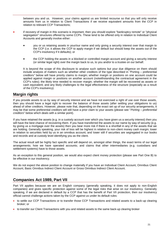between you and us. However, your claims against us are limited recourse so that you will only receive amounts from us in relation to Client Transactions if we receive equivalent amounts from the CCP in relation to relevant CCP Transactions;

- if recovery of margin in this scenario is important, then you should explore "bankruptcy remote" or "physical segregation" structures offered by some CCPs. These tend to be offered only in relation to Individual Client Accounts and generally involve either:
	- you or us retaining assets in your/our name and only giving a security interest over that margin to the CCP (i.e. it allows the CCP to apply margin if we default but should keep the assets out of the CCP's insolvency if it defaults); or
	- the CCP holding the assets in a blocked or controlled margin account and giving a security interest (or similar legal right) over the margin back to us, to you and/or to a trustee on our behalf.

It is beyond the scope of this disclosure to analyse such options but your due diligence on them should include analysis of matters such as whether other creditors of the type described in *"*Porting – preferential creditors*"* below will have priority claims to margin; whether margin or positions on one account could be applied against margin or positions on another account (notwithstanding the contractual agreement in the CCP's rules); the likely time needed to recover margin; whether the margin will be recovered as assets or cash equivalent; and any likely challenges to the legal effectiveness of the structure (especially as a result of the CCP's insolvency).

# **Margin rights**

If you provide assets to us by way of security interest and we have not exercised a right of use over those assets, then you should have a legal right to recover the balance of those assets (after settling your obligations to us) ahead of other creditors. However, please note that, depending on the exact set up of our security arrangements, it may be that some preferential creditors will still have a prior claim to your assets (please see "*Porting – preferential creditors*" below which deals with a similar point).

If you have retained the assets (e.g. in a custody account over which you have given us a security interest) then you will have the best chance of recovering them. If you have transferred the assets to our name by way of security (e.g. by giving us a mortgage over the assets) then you bear more risk if there is a shortfall in any of the assets that we are holding. Generally speaking, your risk of loss will be highest in relation to non-client money cash margin; lower in relation to securities held by us in an omnibus account; and lower still if securities are segregated in our books and records and at custody level identifying you as the client.

The actual result will be highly fact specific and will depend on, amongst other things, the exact terms of our legal arrangements; how we have operated accounts; and claims that other intermediaries (e.g. custodians and settlement systems) have to those assets.

As an exception to this general position, we would also expect client money protection (please see Part One B) to be effective in our insolvency.

We do not expect the above position to change materially if you have an Individual Client Account, Omnibus Client Account, Basic Omnibus Indirect Client Account or Gross Omnibus Indirect Client Account.

# **Companies Act 1989, Part VII**

Part VII applies because we are an English company (generally speaking, it does not apply to non-English companies) and gives specific protection against some of the legal risks that arise on our insolvency. Generally speaking, if we are declared in default by a CCP that has the benefit of Part VII protection, then our insolvency official cannot challenge actions taken by the CCP against us under its default rules:

- to settle our CCP Transactions or to transfer those CCP Transactions and related assets to a back-up clearing broker; or
- to transfer our Client Transactions with you and related assets to the same back-up clearing broker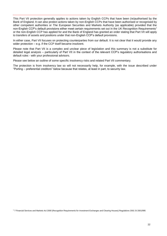This Part VII protection generally applies to actions taken by English CCPs that have been (re)authorised by the Bank of England. It can also protect actions taken by non-English CCPs that have been authorised or recognised by other competent authorities or The European Securities and Markets Authority (as applicable) provided that the non-English CCP's default provisions either meet certain requirements set out in the UK Recognition Requirements<sup>7</sup> or the non-English CCP has applied for and the Bank of England has granted an order stating that Part VII will apply to transfers of assets and positions under that non-English CCP's default provisions.

In either case, Part VII focuses on protecting counterparties from our default. It is not clear that it would provide any wider protection – e.g. if the CCP itself became insolvent.

Please note that Part VII is a complex and unclear piece of legislation and this summary is not a substitute for detailed legal analysis – particularly of Part VII in the context of the relevant CCP's regulatory authorisations and default rules - with your professional advisors.

Please see below an outline of some specific insolvency risks and related Part VII commentary.

The protection is from insolvency law so will not necessarily help, for example, with the issue described under "Porting – preferential creditors" below because that relates, at least in part, to security law.

<sup>7</sup> 7 Financial Services and Markets Act 2000 (Recognition Requirements for Investment Exchanges and Clearing Houses) Regulations 2001 SI 2001/995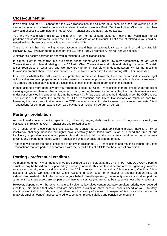# **Close-out netting**

If we default and the CCP cannot port the CCP Transactions and collateral (e.g. because a back-up clearing broker cannot be found or, ordinarily, because the relevant positions are in a Basic Omnibus Indirect Client Account) then we would expect it to terminate and net our CCP Transactions and apply related assets.

You and we would want this to work differently from normal bilateral close-out netting that would apply to all positions and assets between us and the CCP – e.g. assets on an Individual Client Account relating to you could be netted with our house or another client account at the CCP.

There is a risk that this netting across accounts could happen automatically as a result of ordinary English insolvency law. However, to the extent that the CCP has Part VII protection, this risk should not occur.

A similar risk occurs between us and you in relation to Client Transactions.

It is most likely to materialise in a pre-porting period during which English law may automatically set-off Client Transactions and collateral relating to one CCP with Client Transactions and collateral relating to another. This risk arises regardless of what you and we may provide for in our clearing documentation. Whilst the resulting termination amount should represent our net exposure to each other, it will make porting difficult or impossible.

It is unclear whether Part VII provides you protection in this case. However, there are certain industry-wide legal opinions that are being prepared on the effectiveness of close-out provisions in standard client clearing agreements. You should seek legal advice and/or access to such opinions for more information in this respect.

Please also note more generally that your freedom to close-out Client Transactions is more limited under the client clearing agreement than in other arrangements that you may be used to. In particular, the main termination event under our client clearing agreement is that the relevant CCP has declared us to be in default under the CCP's rules. The intention is to match the treatment of CCP Transactions and Client Transactions as much as possible. However, this may mean that – unless the CCP declares a default under its rules - you cannot terminate Client Transactions for common reasons such as a payment or insolvency default on our part.

# **Porting - prohibition**

As mentioned above, except in specific (e.g. physically segregated) structures, a CCP only owes us (not you) obligations in relation to CCP Transactions and related assets.

As a result, when these contracts and assets are transferred to a back-up clearing broker, there is a risk of insolvency challenge because our rights have effectively been taken from us on or around the time of our insolvency. Applicable laws may not permit this and there is a risk that the courts may therefore not permit, or may unwind, any porting and related Client Transactions with your back-up clearing broker.

That said, we expect the risk of challenge to be low in relation to CCP Transactions and matching transfer of Client Transactions that are ported in accordance with the default rules of a CCP that has Part VII protection.

# **Porting - preferential creditors**

As mentioned under "What happens if we are declared to be in default by a CCP?" in Part One A, a CCP's porting structure may be based on or supported by a security interest. This can take different forms but generally involves us creating security over our rights against the CCP in relation to an Individual Client Account, Omnibus Client account or Gross Omnibus Indirect Client Account in your favour or in favour of another person (e.g. an independent trustee) to hold the security on your behalf. Broadly speaking, the security interest should support the argument that these assets are not part of our insolvency estate (i.e. are not to be shared with our other creditors).

However, depending on the exact structure, insolvency law gives certain statutory creditors priority over secured creditors. This means that some creditors may have a claim on client account assets ahead of you. Statutory creditors are likely to include, amongst others, our insolvency official (e.g. in respect of its costs and expenses), a relatively small amount of unsecured creditors, some employee salaries and pension contributions.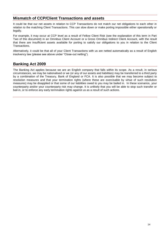# **Mismatch of CCP/Client Transactions and assets**

It could be that our net assets in relation to CCP Transactions do not match our net obligations to each other in relation to the matching Client Transactions. This can slow down or make porting impossible either operationally or legally.

For example, it may occur at CCP level as a result of Fellow Client Risk (see the explanation of this term in Part Two of this document) in an Omnibus Client Account or a Gross Omnibus Indirect Client Account, with the result that there are insufficient assets available for porting to satisfy our obligations to you in relation to the Client Transactions.

Alternatively, it could be that all of your Client Transactions with us are netted automatically as a result of English insolvency law (please see above under "Close-out netting").

# **Banking Act 2009**

The Banking Act applies because we are an English company that falls within its scope. As a result, in serious circumstances, we may be nationalised or we (or any of our assets and liabilities) may be transferred to a third party by a combination of the Treasury, Bank of England or FCA. It is also possible that we may become subject to resolution measures and that your termination rights (where these are exercisable by virtue of such resolution measures) may be disapplied or that some of our liabilities owed to you may be bailed in. In these scenarios, your counterparty and/or your counterparty risk may change. It is unlikely that you will be able to stop such transfer or bail-in, or to enforce any early termination rights against us as a result of such actions.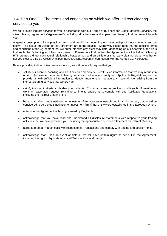# 1.4. Part One D: The terms and conditions on which we offer indirect clearing services to you

We will provide indirect services to you in accordance with our Terms of Business for Global Markets Services, the client clearing agreement ("**Agreement**"), including all schedules and appendices thereto, that we enter into with you.

A general description of the principal terms and conditions governing our relationship with our clients is set out below. The actual provisions of the Agreement are more detailed. Moreover, please note that the specific terms and conditions of the Agreement that we enter into with any client may differ depending on our analysis of the risks that such client's trading activities may present. Please note that neither the Agreement nor the Indirect Clearing RTS creates a direct contractual relationship between you and an affiliate or third-party clearing broker whether or not you elect to utilize a Gross Omnibus Indirect Client Account in connection with the Agreed CCP Services.

Before providing indirect client services to you, we will generally require that you:

- satisfy our client onboarding and KYC criteria and provide us with such information that we may request in order to (i) provide the indirect clearing services or otherwise comply with Applicable Regulations; and (ii) provide us with sufficient information to identify, monitor and manage any material risks arising from the indirect clearing services that we provide.
- satisfy the credit criteria applicable to our clients. You must agree to provide us with such information as we may reasonably request from time to time to enable us to comply with any Applicable Regulations including the Indirect Clearing RTS.
- be an authorised credit institution or investment firm or an entity established in a third country that would be considered to be a credit institution or investment firm if that entity were established in the European Union.
- enter into the Agreement with us, governed by English law.
- acknowledge that you have read and understood all disclosure statements with respect to your trading activities that we have provided you, including the appropriate Disclosure Statement on Indirect Clearing.
- agree to meet all margin calls with respect to all Transactions and comply with trading and position limits.
- acknowledge that, upon an event of default, we will have certain rights as set out in the Agreement, including the right to liquidate any or all Transactions and margin.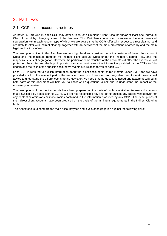# <span id="page-26-0"></span>2. Part Two:

# <span id="page-26-1"></span>2.1. CCP client account structures

As noted in Part One B, each CCP may offer at least one Omnibus Client Account and/or at least one Individual Client Account by changing some of the features. This Part Two contains an overview of the main levels of segregation within each account type of which we are aware that the CCPs offer with respect to direct clearing, and are likely to offer with indirect clearing, together with an overview of the main protections afforded by and the main legal implications of each.

The descriptions given in this Part Two are very high level and consider the typical features of these client account types and the minimum requires for indirect client account types under the Indirect Clearing RTS, and the respective levels of segregation. However, the particular characteristics of the accounts will affect the exact levels of protection they offer and the legal implications so you must review the information provided by the CCPs to fully understand the risks of the specific account we maintain in relation to you at each CCP.

Each CCP is required to publish information about the client account structures it offers under EMIR and we have provided a link to the relevant part of the website of each CCP we use. You may also need to seek professional advice to understand the differences in detail. However, we hope that the questions raised and factors described in both parts of this document will help you to know which questions to ask and to understand the impact of the answers you receive.

The descriptions of the client accounts have been prepared on the basis of publicly available disclosure documents made available by a selection of CCPs. We are not responsible for, and do not accept any liability whatsoever, for any content or omissions or inaccuracies contained in the information produced by any CCP. The descriptions of the indirect client accounts have been prepared on the basis of the minimum requirements in the Indirect Clearing RTS.

The Annex seeks to compare the main account types and levels of segregation against the following risks: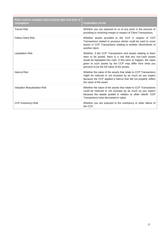| Risks used to compare each account type and level of<br>segregation | <b>Explanation of risk</b>                                                                                                                                                                                                                                                                                  |
|---------------------------------------------------------------------|-------------------------------------------------------------------------------------------------------------------------------------------------------------------------------------------------------------------------------------------------------------------------------------------------------------|
| Transit Risk                                                        | Whether you are exposed to us at any point in the process of<br>providing or receiving margin in respect of Client Transactions.                                                                                                                                                                            |
| <b>Fellow Client Risk</b>                                           | Whether assets provided to the CCP in respect of CCP<br>Transactions related to you/your clients could be used to cover<br>losses in CCP Transactions relating to another client/clients of<br>another client.                                                                                              |
| <b>Liquidation Risk</b>                                             | Whether, if the CCP Transactions and assets relating to them<br>were to be ported, there is a risk that any non-cash assets<br>would be liquidated into cash. If this were to happen, the value<br>given to such assets by the CCP may differ from what you<br>perceive to be the full value of the assets. |
| <b>Haircut Risk</b>                                                 | Whether the value of the assets that relate to CCP Transactions<br>might be reduced or not increase by as much as you expect<br>because the CCP applied a haircut that did not properly reflect<br>the value of the asset.                                                                                  |
| <b>Valuation Mutualisation Risk</b>                                 | Whether the value of the assets that relate to CCP Transactions<br>could be reduced or not increase by as much as you expect<br>because the assets posted in relation to other clients' CCP<br>Transactions have decreased in value.                                                                        |
| <b>CCP Insolvency Risk</b>                                          | Whether you are exposed to the insolvency or other failure of<br>the CCP.                                                                                                                                                                                                                                   |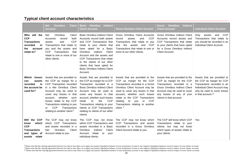# **Typical client account characteristics**

|                                                                                                         | <b>Client</b><br><b>Net</b><br><b>Omnibus</b><br><b>Account</b>                                                                                                                                                                                                                                                                                | <b>Indirect</b><br><b>Omnibus</b><br>Basic<br><b>Client Account</b>                                                                                                                                                                                                                                                                                                           | <b>Gross Omnibus Client Account</b>                                                                                                                                                                                                                                                                                                              | <b>Indirect</b><br><b>Omnibus</b><br>Gross<br><b>Client Account</b>                                                                                                                                                  | <b>Individual Client Account</b>                                                                                                                                                           |
|---------------------------------------------------------------------------------------------------------|------------------------------------------------------------------------------------------------------------------------------------------------------------------------------------------------------------------------------------------------------------------------------------------------------------------------------------------------|-------------------------------------------------------------------------------------------------------------------------------------------------------------------------------------------------------------------------------------------------------------------------------------------------------------------------------------------------------------------------------|--------------------------------------------------------------------------------------------------------------------------------------------------------------------------------------------------------------------------------------------------------------------------------------------------------------------------------------------------|----------------------------------------------------------------------------------------------------------------------------------------------------------------------------------------------------------------------|--------------------------------------------------------------------------------------------------------------------------------------------------------------------------------------------|
| will the<br>Who<br><b>CCP</b><br><b>Transactions</b><br>recorded<br>-in<br>account<br>the<br>relate to? | <b>Omnibus</b><br>Net<br>Client<br>both<br>Accounts<br>record<br><b>CCP</b><br>assets<br>and<br>Transactions that relate to<br>you and the assets and<br><b>CCP</b><br>Transactions<br>that<br>relate to one or more of our<br>other clients.                                                                                                  | Basic Omnibus Indirect Client<br>Accounts record both assets<br>and CCP Transactions that<br>relate to your clients that<br>Basic<br>have opted for a<br>Client<br><b>Omnibus</b><br>Indirect<br>Account and the assets and<br>CCP Transactions that relate<br>to the clients of our other<br>clients that have opted for<br><b>Basic Omnibus Indirect Client</b><br>Account. | Gross Omnibus Client Accounts<br><b>CCP</b><br>record<br>assets<br>and<br>Transactions that relate to you<br>the<br><b>CCP</b><br>and<br>assets<br>and<br>Transactions that relate to one or<br>more of our other clients.                                                                                                                       | <b>Gross Omnibus Indirect Client</b><br>Accounts record assets and<br>CCP Transactions that relate<br>to your clients that have opted<br>for a Gross Omnibus Indirect<br>Client Account.                             | Only<br>and<br>CCP<br>assets<br>Transactions that relate to<br>vou should be recorded in an<br>Individual Client Account.                                                                  |
| Which<br>losses<br>assets<br>can<br>recorded<br>in.<br>the account be<br>used for?                      | Assets that are provided to<br>the CCP as margin for a<br>CCP Transaction recorded<br>in a Net Omnibus Client<br>Account may be used to<br>cover any losses in that<br>whether<br>account,<br>such<br>losses relate to the CCP<br>Transactions relating to you<br><b>CCP</b><br>Transactions<br>or<br>relating to another client. <sup>8</sup> | Assets that are provided to<br>the CCP as margin for a CCP<br>Transaction recorded in a<br><b>Basic Omnibus Indirect Client</b><br>Account may be used to<br>cover any losses in that<br>account, whether such losses<br><b>CCP</b><br>the<br>relate<br>to<br>Transactions relating to your<br>clients or CCP Transactions<br>relating to clients of our other<br>clients.    | Assets that are provided to the<br>CCP as margin for the CCP<br>Transactions recorded in a Gross<br>Omnibus Client Account may be<br>used to cover any losses in that<br>account, whether such losses<br>relate to the CCP Transactions<br><b>CCP</b><br>relating<br>to<br>you<br>or<br>Transactions relating to another<br>client. <sup>9</sup> | Assets that are provided to the<br>CCP as margin for the CCP<br>Transactions recorded in a<br>Gross Omnibus Indirect Client<br>Account may be used to cover<br>any losses of any of your<br>clients in that account. | Assets that are provided to<br>the CCP as margin for CCP<br>Transactions recorded in an<br>Individual Client Account may<br>only be used to cover losses<br>in that account. <sup>10</sup> |
| Will<br>the CCP<br>which<br>know<br><b>CCP</b><br><b>Transactions</b><br>and types of<br>assets relate  | The CCP may not know<br>which CCP Transactions<br>and assets recorded in a<br><b>Omnibus</b><br>Client<br>Net<br>Account relate to you.                                                                                                                                                                                                        | The CCP may not know<br>which CCP Transactions and<br>assets recorded in a Basic<br>Omnibus<br>Indirect<br>Client<br>Account<br>relate<br>to<br>your<br>individual clients.                                                                                                                                                                                                   | The CCP may not know which<br>CCP Transactions and assets<br>recorded in a Gross Omnibus<br>Client Account relate to you.                                                                                                                                                                                                                        | The CCP will know which CCP<br>Transactions relate to your<br>clients, but may not know<br>which types of assets relate to<br>your clients.                                                                          | Yes                                                                                                                                                                                        |

<sup>&</sup>lt;sup>8</sup> Please note that the clearing agreement between you and us may allow us to apply any positive liquidation balance of your proprietary account to any negative liquidation balances owed in respect of your clients' accoun

<sup>&</sup>lt;sup>9</sup> Please note that the clearing agreement between you and us may allow us to apply any positive liquidation balance of your proprietary account to any negative liquidation balances owed in respect of your clients' accoun

<sup>&</sup>lt;sup>10</sup> Please note that the clearing agreement between you and us may allow us to apply any positive liquidation balance of your proprietary account to any negative liquidation balances owed in respect of your clients' accou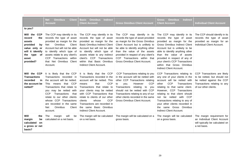|                                                                                                                                                  | <b>Client</b><br><b>Net</b><br><b>Omnibus</b><br>Account                                                                                                                                                                                                                                                                                                | <b>Omnibus</b><br><b>Indirect</b><br>Basic<br><b>Client Account</b>                                                                                                                                                                                                                                                                                                           | <b>Gross Omnibus Client Account</b>                                                                                                                                                                                                                                                                                                      | <b>Omnibus</b><br><b>Indirect</b><br>Gross<br><b>Client Account</b>                                                                                                                                                                                                                                                                                                                       | <b>Individual Client Account</b>                                                                                                                  |
|--------------------------------------------------------------------------------------------------------------------------------------------------|---------------------------------------------------------------------------------------------------------------------------------------------------------------------------------------------------------------------------------------------------------------------------------------------------------------------------------------------------------|-------------------------------------------------------------------------------------------------------------------------------------------------------------------------------------------------------------------------------------------------------------------------------------------------------------------------------------------------------------------------------|------------------------------------------------------------------------------------------------------------------------------------------------------------------------------------------------------------------------------------------------------------------------------------------------------------------------------------------|-------------------------------------------------------------------------------------------------------------------------------------------------------------------------------------------------------------------------------------------------------------------------------------------------------------------------------------------------------------------------------------------|---------------------------------------------------------------------------------------------------------------------------------------------------|
| to you?                                                                                                                                          |                                                                                                                                                                                                                                                                                                                                                         |                                                                                                                                                                                                                                                                                                                                                                               |                                                                                                                                                                                                                                                                                                                                          |                                                                                                                                                                                                                                                                                                                                                                                           |                                                                                                                                                   |
| Will the<br><b>CCP</b><br>record<br>the<br>assets<br>provided<br>by<br>value only or<br>will it identify<br>type of<br>the<br>asset<br>provided? | The CCP may identify in its<br>records the type of asset<br>provided as margin for the<br><b>Omnibus</b><br>Client<br><b>Net</b><br>Account but will not be able<br>to identify which type of<br>assets relate to any client's<br>CCP Transactions within<br>that Net Omnibus Client<br>Account.                                                        | The CCP may identify in its<br>records the type of asset<br>provided as margin for the<br><b>Basic Omnibus Indirect Client</b><br>Account but will not be able<br>to identify which type of<br>assets relate to any indirect<br>client's CCP Transactions<br>within that Basic Omnibus<br>Indirect Client Account.                                                            | The CCP may identify in its<br>records the type of asset provided<br>as margin for the Gross Omnibus<br>Client Account but is unlikely to<br>be able to identify anything other<br>than the value of the assets<br>provided in respect of any client's<br>CCP Transactions within that<br>Gross Omnibus Client Account.                  | The CCP may identify in its<br>records<br>the type of asset<br>provided as margin for the<br><b>Gross Omnibus Indirect Client</b><br>Account but is unlikely to be<br>able to identify anything other<br>than the value of assets<br>provided in respect of any of<br>your client's CCP Transactions<br>within that Gross Omnibus<br>Indirect Client Account.                             | The CCP should identify in its<br>records the type of asset<br>provided as margin for an<br>Individual Client Account.                            |
| Will the CCP<br><b>Transactions</b><br>recorded<br>in.<br>the account be<br>netted?                                                              | It is likely that the CCP<br>Transactions recorded in<br>the account will be netted.<br>that CCP<br>This<br>means<br>Transactions that relate to<br>you may be netted with<br><b>CCP</b><br>Transactions<br>that<br>to our other clients<br>relate<br>whose CCP Transactions<br>are recorded in the same<br>Omnibus<br>Client<br><b>Net</b><br>account. | It is likely that the CCP<br>Transactions recorded in the<br>account will be netted. This<br><b>CCP</b><br>that<br>means<br>Transactions that relate to<br>your clients may be netted<br>with CCP Transactions that<br>relate to clients of our other<br><b>CCP</b><br>whose<br>clients<br>Transactions are recorded in<br>the same Basic Omnibus<br>Indirect Client Account. | CCP Transactions relating to you<br>in the account will be netted with<br>other CCP Transactions relating<br><b>CCP</b><br>However<br>to<br>vou.<br>Transactions<br>relating<br>to<br>vou<br>should not be netted with CCP<br>Transactions relating to any of our<br>other clients recorded in the same<br>Gross Omnibus Client Account. | CCP Transactions relating to<br>any one of your clients in the<br>account will be netted with<br><b>CCP</b><br>other<br>Transactions<br>relating to that same client.<br>However, CCP Transactions<br>relating to that client should<br>not be netted with CCP<br>Transactions relating to any of<br>your other clients recorded in<br>the same Gross Omnibus<br>Indirect Client Account. | CCP Transactions are likely<br>to be netted, but should not<br>be netted against the CCP<br>Transactions relating to any<br>of our other clients. |
| Will<br>the<br>margin<br>be<br>calculated<br>on<br>a gross or net<br>basis?                                                                      | will<br>The<br>margin<br>be<br>calculated on a net basis.                                                                                                                                                                                                                                                                                               | The margin will be calculated<br>on a net basis.                                                                                                                                                                                                                                                                                                                              | The margin will be calculated on a<br>gross basis.                                                                                                                                                                                                                                                                                       | The margin will be calculated<br>on a gross basis.                                                                                                                                                                                                                                                                                                                                        | The margin requirement for<br>an Individual Client Account<br>will typically be calculated on<br>a net basis.                                     |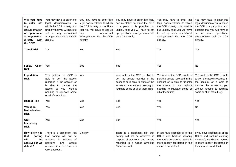| Will you have<br>to enter into<br>any<br>documentation<br>or operational<br>arrangements<br>directly<br>with<br>the CCP? | You may have to enter into<br>legal documentation to<br>which the CCP is party. It is<br>unlikely that you will have to<br>set up any operational<br>arrangements with the CCP<br>directly.      | You may have to enter into<br>legal documentation to which<br>the CCP is party. It is unlikely<br>that you will have to set up<br>operational<br>any<br>arrangements with the CCP<br>directly. | You may have to enter into legal<br>documentation to which the CCP<br>is a party. It is possible but<br>unlikely that you will have to set<br>up operational arrangements with<br>the CCP directly. | You may have to enter into<br>legal documentation to which<br>the CCP is party. It is possible<br>but unlikely that you will have<br>to set up some operational<br>arrangements with the CCP<br>directly. | You may have to enter into<br>legal documentation to which<br>the CCP is a party. It is also<br>possible that you will have to<br>set up some operational<br>arrangements with the CCP<br>directly. |
|--------------------------------------------------------------------------------------------------------------------------|--------------------------------------------------------------------------------------------------------------------------------------------------------------------------------------------------|------------------------------------------------------------------------------------------------------------------------------------------------------------------------------------------------|-----------------------------------------------------------------------------------------------------------------------------------------------------------------------------------------------------|-----------------------------------------------------------------------------------------------------------------------------------------------------------------------------------------------------------|-----------------------------------------------------------------------------------------------------------------------------------------------------------------------------------------------------|
| <b>Transit Risk</b>                                                                                                      | Yes                                                                                                                                                                                              | Yes                                                                                                                                                                                            | Yes                                                                                                                                                                                                 | Yes                                                                                                                                                                                                       | Yes                                                                                                                                                                                                 |
| <b>Client</b><br><b>Fellow</b><br><b>Risk</b>                                                                            | Yes                                                                                                                                                                                              | Yes                                                                                                                                                                                            | Yes                                                                                                                                                                                                 | Yes                                                                                                                                                                                                       | No                                                                                                                                                                                                  |
| Liquidation<br><b>Risk</b>                                                                                               | Yes (unless the CCP is<br>able to port the assets<br>recorded in the account or<br>is able to transfer the<br>you without<br>assets<br>to<br>needing to liquidate some<br>or all of them first). | Yes                                                                                                                                                                                            | Yes (unless the CCP is able to<br>port the assets recorded in the<br>account or is able to transfer the<br>assets to you without needing to<br>liquidate some or all of them first).                | Yes (unless the CCP is able to<br>port the assets recorded in the<br>account or is able to transfer<br>the assets to you without<br>needing to liquidate some or<br>all of them first).                   | Yes (unless the CCP is able<br>to port the assets recorded in<br>the account or is able to<br>transfer the assets to you<br>without needing to liquidate<br>some or all of them first).             |
| <b>Haircut Risk</b>                                                                                                      | Yes                                                                                                                                                                                              | <b>Yes</b>                                                                                                                                                                                     | Yes                                                                                                                                                                                                 | Yes                                                                                                                                                                                                       | Yes                                                                                                                                                                                                 |
| <b>Valuation</b><br><b>Mutualisation</b><br>Risk                                                                         | Yes                                                                                                                                                                                              | Yes                                                                                                                                                                                            | Yes                                                                                                                                                                                                 | Yes                                                                                                                                                                                                       | <b>No</b>                                                                                                                                                                                           |
| <b>CCP</b><br>Insolvency<br><b>Risk</b>                                                                                  | Yes                                                                                                                                                                                              | <b>Yes</b>                                                                                                                                                                                     | Yes                                                                                                                                                                                                 | Yes                                                                                                                                                                                                       | Yes                                                                                                                                                                                                 |
| How likely it is<br>that<br>porting<br>will<br>be<br>achieved if we<br>default?                                          | There is a significant risk<br>that porting will not be<br>achieved<br>in respect of<br>and<br>positions<br>assets<br>recorded in a Net Omnibus<br>Client account.                               | Unlikely                                                                                                                                                                                       | There is a significant risk that<br>porting will not be achieved in<br>respect of positions and assets<br>recorded in a Gross Omnibus<br>Client account.                                            | If you have satisfied all of the<br>CCP's and back-up clearing<br>member's conditions, porting is<br>more readily facilitated in the<br>event of our default.                                             | If you have satisfied all of the<br>CCP's and back-up clearing<br>member's conditions, porting<br>is more readily facilitated in<br>the event of our default.                                       |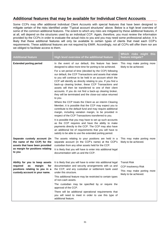# **Additional features that may be available for Individual Client Accounts**

Some CCPs may offer additional Individual Client Accounts with special features that have been designed to mitigate certain of the risks identified under "Typical account structures" above. Below is a high level overview of some of the common additional features. The extent to which any risks are mitigated by these additional features, if at all, will depend on the structures used by an individual CCP. Again, therefore, you must review the information provided by the CCPs in order to evaluate the actual risks to you and you may need some professional advice. It is likely that these additional features will only be available to certain types of clients that meet each CCP's requirements. These additional features are not required by EMIR. Accordingly, not all CCPs will offer them nor are we obliged to facilitate access to them.

| <b>Additional feature</b>                                                                                                                    | High level overview of the additional feature                                                                                                                                                                                                                                                                                                                                                                                                                                                                                                                                                                                                                                                                                                                                                                                                                                                                                                                                                                                                                                                                                                                                                                   | Which risks might<br>this<br>feature mitigate?                                                            |
|----------------------------------------------------------------------------------------------------------------------------------------------|-----------------------------------------------------------------------------------------------------------------------------------------------------------------------------------------------------------------------------------------------------------------------------------------------------------------------------------------------------------------------------------------------------------------------------------------------------------------------------------------------------------------------------------------------------------------------------------------------------------------------------------------------------------------------------------------------------------------------------------------------------------------------------------------------------------------------------------------------------------------------------------------------------------------------------------------------------------------------------------------------------------------------------------------------------------------------------------------------------------------------------------------------------------------------------------------------------------------|-----------------------------------------------------------------------------------------------------------|
| <b>Extended porting period</b>                                                                                                               | In the event of our default, this feature has been<br>designed to allow more time for porting to be achieved.<br>For a set period of time (decided by the CCP) following<br>our default, the CCP Transactions and assets that relate<br>to you will continue to be held in an account which the<br>CCP will identify as directly relating to you. If you find a<br>back-up clearing broker, these CCP Transactions and<br>assets will then be transferred to one of their client<br>accounts. If you do not find a back-up clearing broker,<br>they will be terminated and the close-out value returned<br>to you.<br>Where the CCP treats the Client as an interim Clearing<br>Member, it is possible that the CCP may expect you to<br>contribute to the default fund and may require additional<br>margin, including variation margin, to be provided in<br>respect of the CCP Transactions transferred to you.<br>It is possible that you may have to set up such accounts<br>as the CCP requires and have the ability to make<br>payments directly to the CCP. The CCP may also have<br>an additional list of requirements that you will have to<br>satisfy to be able to use the extended porting period. | This may make porting more<br>likely to be achieved.                                                      |
| Separate custody account (in<br>the name of the CCP) for the<br>assets that have been provided<br>as margin for positions relating<br>to you | The assets relating to your positions are held in a<br>separate account (in the CCP's name) at the CCP's<br>custodian from any other assets held for the CCP.<br>It is likely that you will have to enter into additional legal<br>documentation with us and the CCP.                                                                                                                                                                                                                                                                                                                                                                                                                                                                                                                                                                                                                                                                                                                                                                                                                                                                                                                                           | This may make porting more<br>likely to be achieved.                                                      |
| Ability for you to keep assets<br>required<br>as<br>margin<br>for<br>positions relating to you in a<br>custody account in your name.         | It is likely that you will have to enter into additional legal<br>documentation and security arrangements with us and<br>the CCP, and any custodian or settlement bank used<br>under this structure.<br>This additional feature may be restricted to certain types<br>of non-cash assets.<br>The custodian may be specified by or require the<br>approval of the CCP.<br>There will be additional operational requirements that<br>you will need to meet in order to use this type of<br>additional feature.                                                                                                                                                                                                                                                                                                                                                                                                                                                                                                                                                                                                                                                                                                    | <b>Transit Risk</b><br><b>CCP Insolvency Risk</b><br>This may make porting more<br>likely to be achieved. |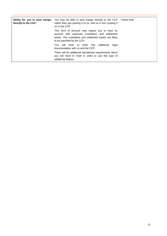| Ability for you to post margin<br>directly to the CCP. | You may be able to post margin directly to the CCP   Transit Risk<br>rather than you posting it to us, and us in turn posting it<br>on to the CCP.                                           |  |
|--------------------------------------------------------|----------------------------------------------------------------------------------------------------------------------------------------------------------------------------------------------|--|
|                                                        | This form of account may require you to have an<br>account with particular custodians and settlement<br>banks. The custodians and settlement banks are likely<br>to be specified by the CCP. |  |
|                                                        | You will have to enter into<br>additional<br>legal<br>documentation with us and the CCP.                                                                                                     |  |
|                                                        | There will be additional operational requirements which<br>you will need to meet in order to use this type of<br>additional feature.                                                         |  |